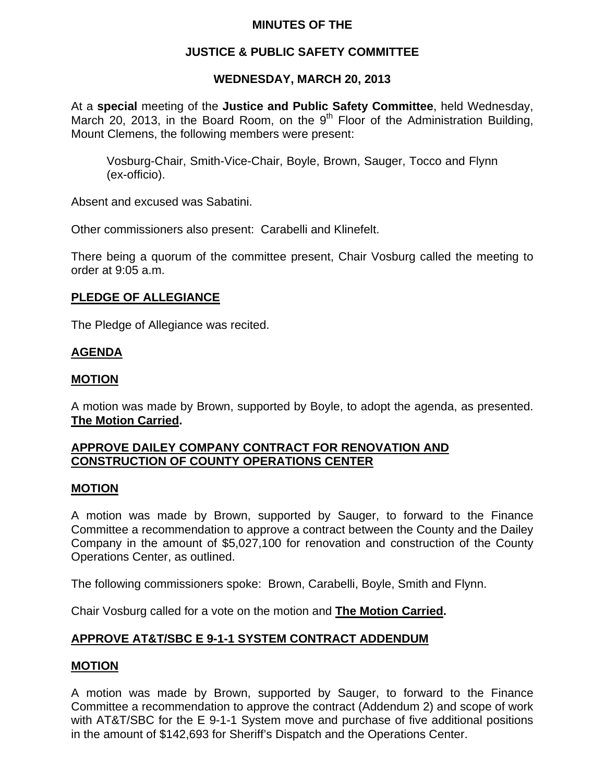### **MINUTES OF THE**

### **JUSTICE & PUBLIC SAFETY COMMITTEE**

#### **WEDNESDAY, MARCH 20, 2013**

At a **special** meeting of the **Justice and Public Safety Committee**, held Wednesday, March 20, 2013, in the Board Room, on the  $9<sup>th</sup>$  Floor of the Administration Building, Mount Clemens, the following members were present:

Vosburg-Chair, Smith-Vice-Chair, Boyle, Brown, Sauger, Tocco and Flynn (ex-officio).

Absent and excused was Sabatini.

Other commissioners also present: Carabelli and Klinefelt.

There being a quorum of the committee present, Chair Vosburg called the meeting to order at 9:05 a.m.

### **PLEDGE OF ALLEGIANCE**

The Pledge of Allegiance was recited.

## **AGENDA**

### **MOTION**

A motion was made by Brown, supported by Boyle, to adopt the agenda, as presented. **The Motion Carried.** 

## **APPROVE DAILEY COMPANY CONTRACT FOR RENOVATION AND CONSTRUCTION OF COUNTY OPERATIONS CENTER**

#### **MOTION**

A motion was made by Brown, supported by Sauger, to forward to the Finance Committee a recommendation to approve a contract between the County and the Dailey Company in the amount of \$5,027,100 for renovation and construction of the County Operations Center, as outlined.

The following commissioners spoke: Brown, Carabelli, Boyle, Smith and Flynn.

Chair Vosburg called for a vote on the motion and **The Motion Carried.** 

## **APPROVE AT&T/SBC E 9-1-1 SYSTEM CONTRACT ADDENDUM**

#### **MOTION**

A motion was made by Brown, supported by Sauger, to forward to the Finance Committee a recommendation to approve the contract (Addendum 2) and scope of work with AT&T/SBC for the E 9-1-1 System move and purchase of five additional positions in the amount of \$142,693 for Sheriff's Dispatch and the Operations Center.